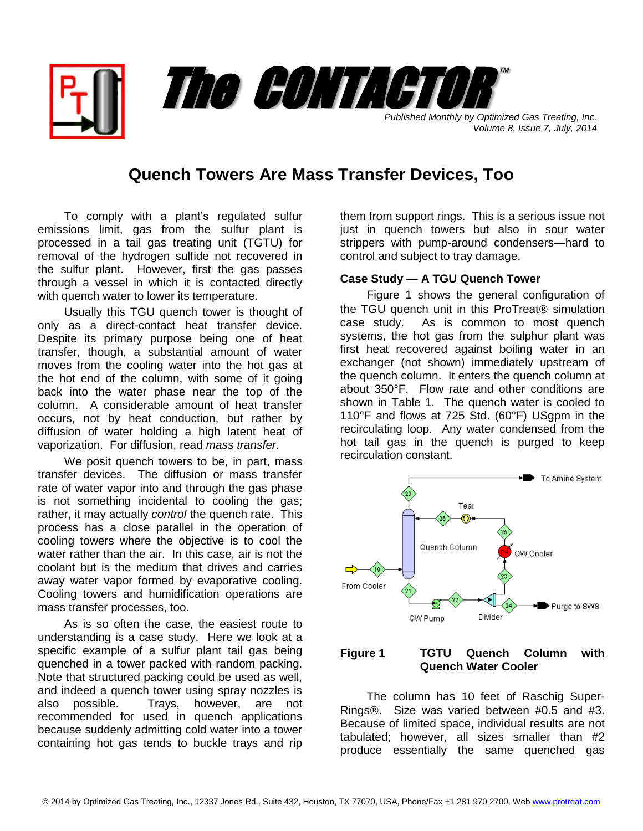*Published Monthly by Optimized Gas Treating, Inc.* The CONTACTOR

## **Quench Towers Are Mass Transfer Devices, Too**

To comply with a plant's regulated sulfur emissions limit, gas from the sulfur plant is processed in a tail gas treating unit (TGTU) for removal of the hydrogen sulfide not recovered in the sulfur plant. However, first the gas passes through a vessel in which it is contacted directly with quench water to lower its temperature.

Usually this TGU quench tower is thought of only as a direct-contact heat transfer device. Despite its primary purpose being one of heat transfer, though, a substantial amount of water moves from the cooling water into the hot gas at the hot end of the column, with some of it going back into the water phase near the top of the column. A considerable amount of heat transfer occurs, not by heat conduction, but rather by diffusion of water holding a high latent heat of vaporization. For diffusion, read *mass transfer*.

We posit quench towers to be, in part, mass transfer devices. The diffusion or mass transfer rate of water vapor into and through the gas phase is not something incidental to cooling the gas; rather, it may actually *control* the quench rate. This process has a close parallel in the operation of cooling towers where the objective is to cool the water rather than the air. In this case, air is not the coolant but is the medium that drives and carries away water vapor formed by evaporative cooling. Cooling towers and humidification operations are mass transfer processes, too.

As is so often the case, the easiest route to understanding is a case study. Here we look at a specific example of a sulfur plant tail gas being quenched in a tower packed with random packing. Note that structured packing could be used as well, and indeed a quench tower using spray nozzles is also possible. Trays, however, are not recommended for used in quench applications because suddenly admitting cold water into a tower containing hot gas tends to buckle trays and rip

them from support rings. This is a serious issue not just in quench towers but also in sour water strippers with pump-around condensers—hard to control and subject to tray damage.

*Volume 8, Issue 7, July, 2014*

™

## **Case Study — A TGU Quench Tower**

Figure 1 shows the general configuration of the TGU quench unit in this ProTreat<sup>®</sup> simulation case study. As is common to most quench systems, the hot gas from the sulphur plant was first heat recovered against boiling water in an exchanger (not shown) immediately upstream of the quench column. It enters the quench column at about 350°F. Flow rate and other conditions are shown in Table 1. The quench water is cooled to 110°F and flows at 725 Std. (60°F) USgpm in the recirculating loop. Any water condensed from the hot tail gas in the quench is purged to keep recirculation constant.



## **Figure 1 TGTU Quench Column with Quench Water Cooler**

The column has 10 feet of Raschig Super-Rings<sup>®</sup>. Size was varied between #0.5 and #3. Because of limited space, individual results are not tabulated; however, all sizes smaller than #2 produce essentially the same quenched gas